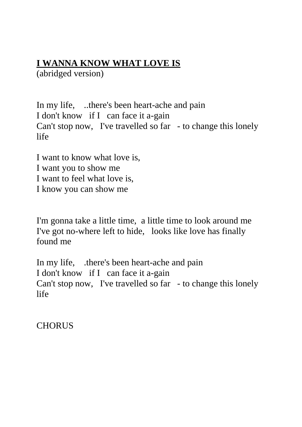## **I WANNA KNOW WHAT LOVE IS**

(abridged version)

In my life, ..there's been heart-ache and pain I don't know if I can face it a-gain Can't stop now, I've travelled so far - to change this lonely life

I want to know what love is, I want you to show me I want to feel what love is, I know you can show me

I'm gonna take a little time, a little time to look around me I've got no-where left to hide, looks like love has finally found me

In my life, .there's been heart-ache and pain I don't know if I can face it a-gain Can't stop now, I've travelled so far - to change this lonely life

**CHORUS**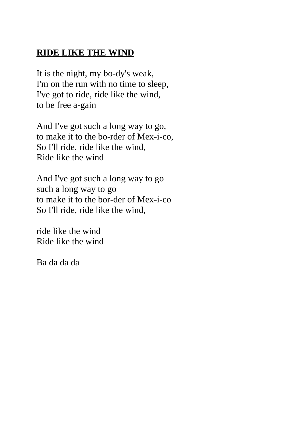## **RIDE LIKE THE WIND**

It is the night, my bo-dy's weak, I'm on the run with no time to sleep, I've got to ride, ride like the wind, to be free a-gain

And I've got such a long way to go, to make it to the bo-rder of Mex-i-co, So I'll ride, ride like the wind, Ride like the wind

And I've got such a long way to go such a long way to go to make it to the bor-der of Mex-i-co So I'll ride, ride like the wind,

ride like the wind Ride like the wind

Ba da da da